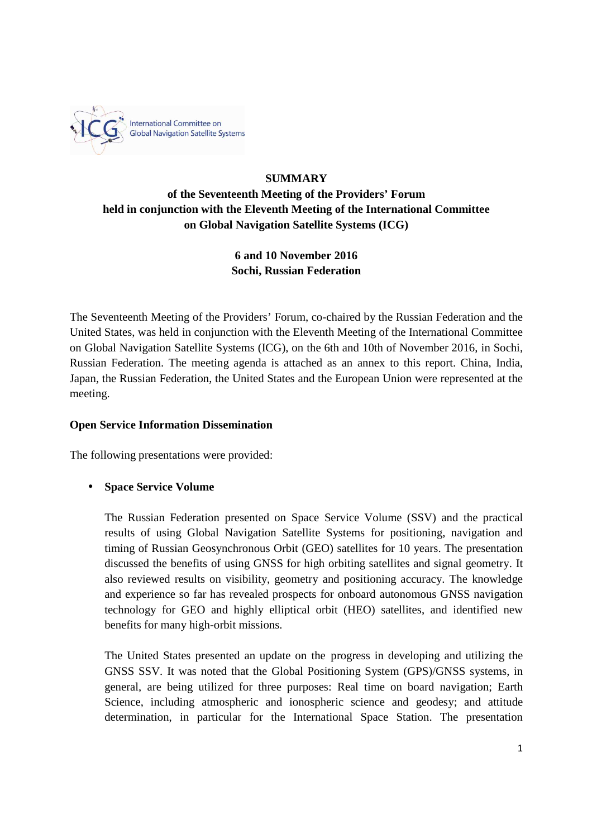

# **SUMMARY of the Seventeenth Meeting of the Providers' Forum held in conjunction with the Eleventh Meeting of the International Committee on Global Navigation Satellite Systems (ICG)**

# **6 and 10 November 2016 Sochi, Russian Federation**

The Seventeenth Meeting of the Providers' Forum, co-chaired by the Russian Federation and the United States, was held in conjunction with the Eleventh Meeting of the International Committee on Global Navigation Satellite Systems (ICG), on the 6th and 10th of November 2016, in Sochi, Russian Federation. The meeting agenda is attached as an annex to this report. China, India, Japan, the Russian Federation, the United States and the European Union were represented at the meeting.

## **Open Service Information Dissemination**

The following presentations were provided:

# • **Space Service Volume**

The Russian Federation presented on Space Service Volume (SSV) and the practical results of using Global Navigation Satellite Systems for positioning, navigation and timing of Russian Geosynchronous Orbit (GEO) satellites for 10 years. The presentation discussed the benefits of using GNSS for high orbiting satellites and signal geometry. It also reviewed results on visibility, geometry and positioning accuracy. The knowledge and experience so far has revealed prospects for onboard autonomous GNSS navigation technology for GEO and highly elliptical orbit (HEO) satellites, and identified new benefits for many high-orbit missions.

The United States presented an update on the progress in developing and utilizing the GNSS SSV. It was noted that the Global Positioning System (GPS)/GNSS systems, in general, are being utilized for three purposes: Real time on board navigation; Earth Science, including atmospheric and ionospheric science and geodesy; and attitude determination, in particular for the International Space Station. The presentation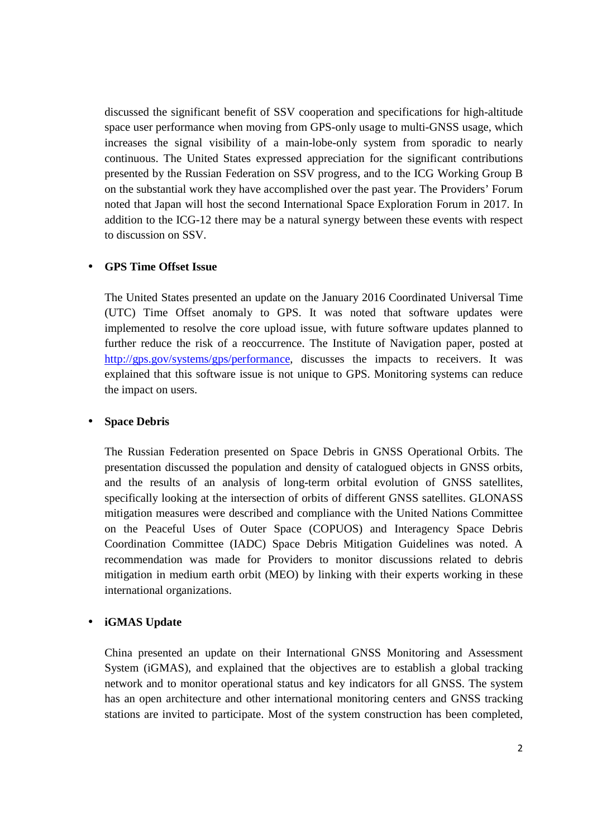discussed the significant benefit of SSV cooperation and specifications for high-altitude space user performance when moving from GPS-only usage to multi-GNSS usage, which increases the signal visibility of a main-lobe-only system from sporadic to nearly continuous. The United States expressed appreciation for the significant contributions presented by the Russian Federation on SSV progress, and to the ICG Working Group B on the substantial work they have accomplished over the past year. The Providers' Forum noted that Japan will host the second International Space Exploration Forum in 2017. In addition to the ICG-12 there may be a natural synergy between these events with respect to discussion on SSV.

#### • **GPS Time Offset Issue**

The United States presented an update on the January 2016 Coordinated Universal Time (UTC) Time Offset anomaly to GPS. It was noted that software updates were implemented to resolve the core upload issue, with future software updates planned to further reduce the risk of a reoccurrence. The Institute of Navigation paper, posted at http://gps.gov/systems/gps/performance, discusses the impacts to receivers. It was explained that this software issue is not unique to GPS. Monitoring systems can reduce the impact on users.

#### • **Space Debris**

The Russian Federation presented on Space Debris in GNSS Operational Orbits. The presentation discussed the population and density of catalogued objects in GNSS orbits, and the results of an analysis of long-term orbital evolution of GNSS satellites, specifically looking at the intersection of orbits of different GNSS satellites. GLONASS mitigation measures were described and compliance with the United Nations Committee on the Peaceful Uses of Outer Space (COPUOS) and Interagency Space Debris Coordination Committee (IADC) Space Debris Mitigation Guidelines was noted. A recommendation was made for Providers to monitor discussions related to debris mitigation in medium earth orbit (MEO) by linking with their experts working in these international organizations.

### • **iGMAS Update**

China presented an update on their International GNSS Monitoring and Assessment System (iGMAS), and explained that the objectives are to establish a global tracking network and to monitor operational status and key indicators for all GNSS. The system has an open architecture and other international monitoring centers and GNSS tracking stations are invited to participate. Most of the system construction has been completed,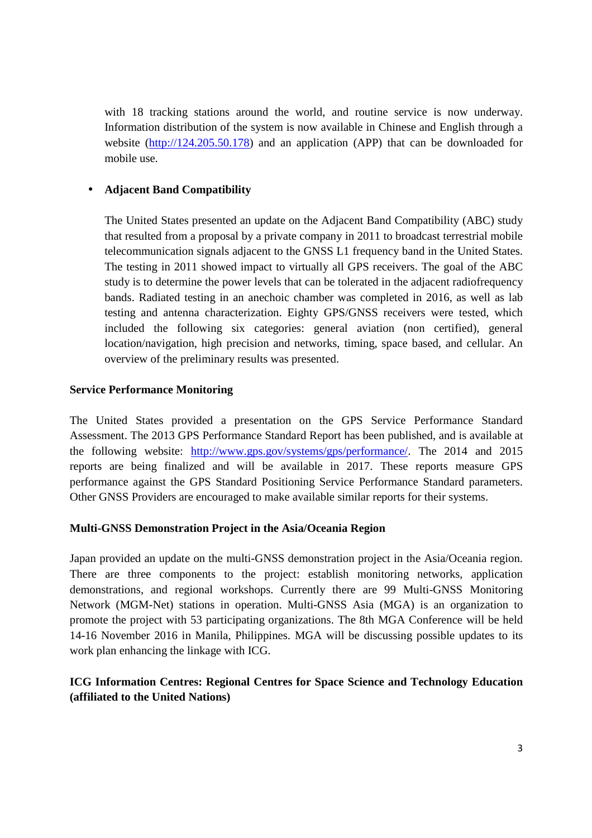with 18 tracking stations around the world, and routine service is now underway. Information distribution of the system is now available in Chinese and English through a website (http://124.205.50.178) and an application (APP) that can be downloaded for mobile use.

### • **Adjacent Band Compatibility**

The United States presented an update on the Adjacent Band Compatibility (ABC) study that resulted from a proposal by a private company in 2011 to broadcast terrestrial mobile telecommunication signals adjacent to the GNSS L1 frequency band in the United States. The testing in 2011 showed impact to virtually all GPS receivers. The goal of the ABC study is to determine the power levels that can be tolerated in the adjacent radiofrequency bands. Radiated testing in an anechoic chamber was completed in 2016, as well as lab testing and antenna characterization. Eighty GPS/GNSS receivers were tested, which included the following six categories: general aviation (non certified), general location/navigation, high precision and networks, timing, space based, and cellular. An overview of the preliminary results was presented.

### **Service Performance Monitoring**

The United States provided a presentation on the GPS Service Performance Standard Assessment. The 2013 GPS Performance Standard Report has been published, and is available at the following website: http://www.gps.gov/systems/gps/performance/. The 2014 and 2015 reports are being finalized and will be available in 2017. These reports measure GPS performance against the GPS Standard Positioning Service Performance Standard parameters. Other GNSS Providers are encouraged to make available similar reports for their systems.

### **Multi-GNSS Demonstration Project in the Asia/Oceania Region**

Japan provided an update on the multi-GNSS demonstration project in the Asia/Oceania region. There are three components to the project: establish monitoring networks, application demonstrations, and regional workshops. Currently there are 99 Multi-GNSS Monitoring Network (MGM-Net) stations in operation. Multi-GNSS Asia (MGA) is an organization to promote the project with 53 participating organizations. The 8th MGA Conference will be held 14-16 November 2016 in Manila, Philippines. MGA will be discussing possible updates to its work plan enhancing the linkage with ICG.

# **ICG Information Centres: Regional Centres for Space Science and Technology Education (affiliated to the United Nations)**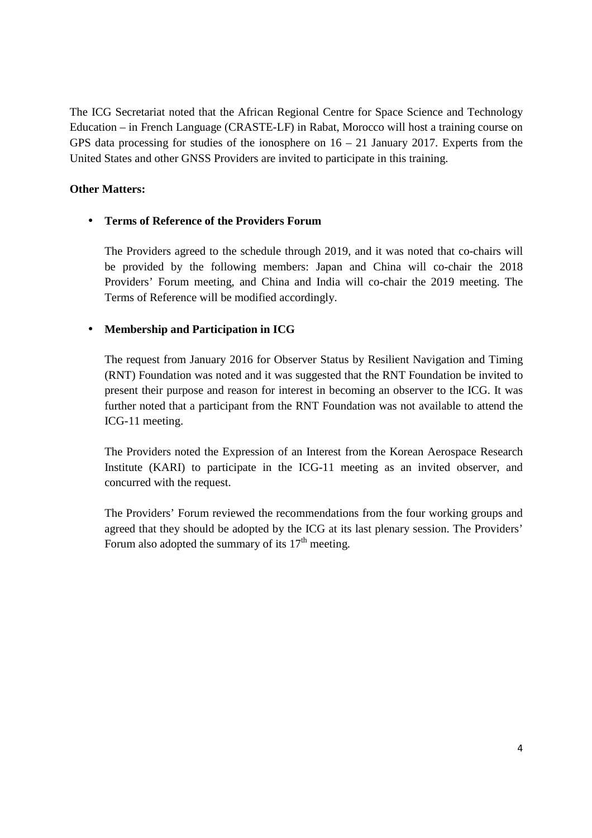The ICG Secretariat noted that the African Regional Centre for Space Science and Technology Education – in French Language (CRASTE-LF) in Rabat, Morocco will host a training course on GPS data processing for studies of the ionosphere on  $16 - 21$  January 2017. Experts from the United States and other GNSS Providers are invited to participate in this training.

## **Other Matters:**

# • **Terms of Reference of the Providers Forum**

The Providers agreed to the schedule through 2019, and it was noted that co-chairs will be provided by the following members: Japan and China will co-chair the 2018 Providers' Forum meeting, and China and India will co-chair the 2019 meeting. The Terms of Reference will be modified accordingly.

# • **Membership and Participation in ICG**

The request from January 2016 for Observer Status by Resilient Navigation and Timing (RNT) Foundation was noted and it was suggested that the RNT Foundation be invited to present their purpose and reason for interest in becoming an observer to the ICG. It was further noted that a participant from the RNT Foundation was not available to attend the ICG-11 meeting.

The Providers noted the Expression of an Interest from the Korean Aerospace Research Institute (KARI) to participate in the ICG-11 meeting as an invited observer, and concurred with the request.

The Providers' Forum reviewed the recommendations from the four working groups and agreed that they should be adopted by the ICG at its last plenary session. The Providers' Forum also adopted the summary of its  $17<sup>th</sup>$  meeting.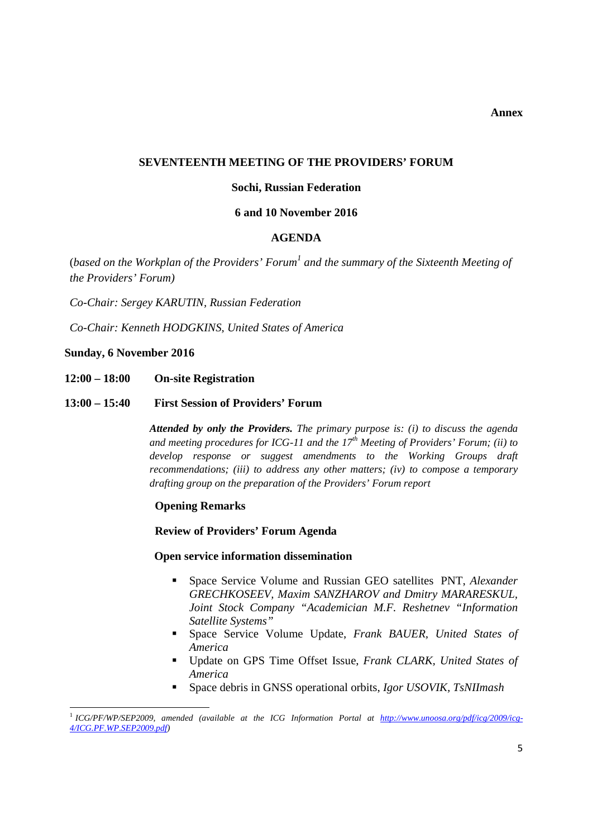**Annex** 

#### **SEVENTEENTH MEETING OF THE PROVIDERS' FORUM**

#### **Sochi, Russian Federation**

#### **6 and 10 November 2016**

#### **AGENDA**

(based on the Workplan of the Providers' Forum<sup>1</sup> and the summary of the Sixteenth Meeting of *the Providers' Forum)* 

*Co-Chair: Sergey KARUTIN, Russian Federation*

*Co-Chair: Kenneth HODGKINS, United States of America*

#### **Sunday, 6 November 2016**

 $\overline{a}$ 

- **12:00 18:00 On-site Registration**
- **13:00 15:40 First Session of Providers' Forum**

*Attended by only the Providers. The primary purpose is: (i) to discuss the agenda and meeting procedures for ICG-11 and the 17th Meeting of Providers' Forum; (ii) to develop response or suggest amendments to the Working Groups draft recommendations; (iii) to address any other matters; (iv) to compose a temporary drafting group on the preparation of the Providers' Forum report* 

#### **Opening Remarks**

**Review of Providers' Forum Agenda** 

#### **Open service information dissemination**

- Space Service Volume and Russian GEO satellites PNT, *Alexander GRECHKOSEEV, Maxim SANZHAROV and Dmitry MARARESKUL, Joint Stock Company "Academician M.F. Reshetnev "Information Satellite Systems"*
- Space Service Volume Update, *Frank BAUER, United States of America*
- Update on GPS Time Offset Issue, *Frank CLARK, United States of America*
- Space debris in GNSS operational orbits, *Igor USOVIK, TsNIImash*

<sup>&</sup>lt;sup>1</sup> ICG/PF/WP/SEP2009, amended (available at the ICG Information Portal at http://www.unoosa.org/pdf/icg/2009/icg-*4/ICG.PF.WP.SEP2009.pdf)*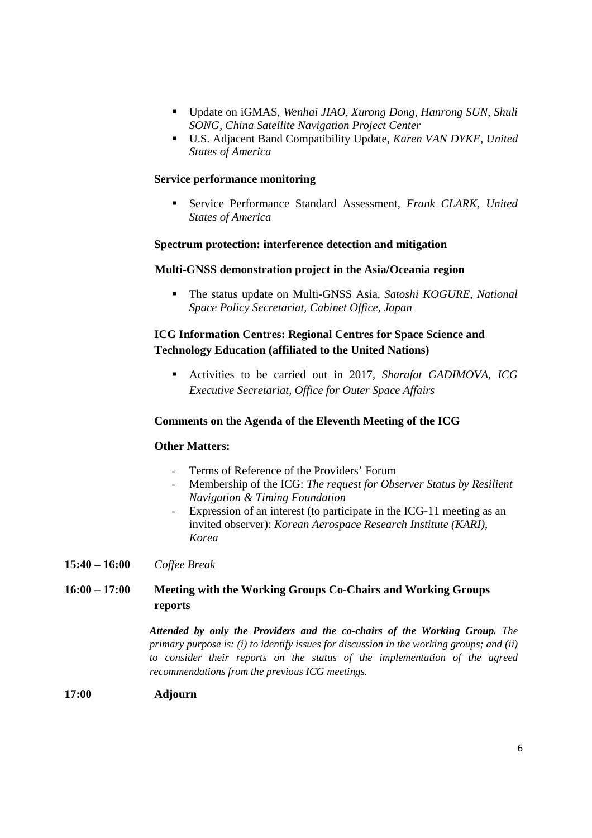- Update on iGMAS*, Wenhai JIAO, Xurong Dong, Hanrong SUN*, *Shuli SONG, China Satellite Navigation Project Center*
- U.S. Adjacent Band Compatibility Update, *Karen VAN DYKE, United States of America*

#### **Service performance monitoring**

 Service Performance Standard Assessment, *Frank CLARK, United States of America* 

#### **Spectrum protection: interference detection and mitigation**

#### **Multi-GNSS demonstration project in the Asia/Oceania region**

 The status update on Multi-GNSS Asia, *Satoshi KOGURE, National Space Policy Secretariat, Cabinet Office, Japan* 

## **ICG Information Centres: Regional Centres for Space Science and Technology Education (affiliated to the United Nations)**

 Activities to be carried out in 2017, *Sharafat GADIMOVA, ICG Executive Secretariat, Office for Outer Space Affairs* 

#### **Comments on the Agenda of the Eleventh Meeting of the ICG**

#### **Other Matters:**

- Terms of Reference of the Providers' Forum
- Membership of the ICG: *The request for Observer Status by Resilient Navigation & Timing Foundation*
- Expression of an interest (to participate in the ICG-11 meeting as an invited observer): *Korean Aerospace Research Institute (KARI), Korea*

### **15:40 – 16:00** *Coffee Break*

## **16:00 – 17:00 Meeting with the Working Groups Co-Chairs and Working Groups reports**

*Attended by only the Providers and the co-chairs of the Working Group. The primary purpose is: (i) to identify issues for discussion in the working groups; and (ii) to consider their reports on the status of the implementation of the agreed recommendations from the previous ICG meetings.* 

#### **17:00 Adjourn**